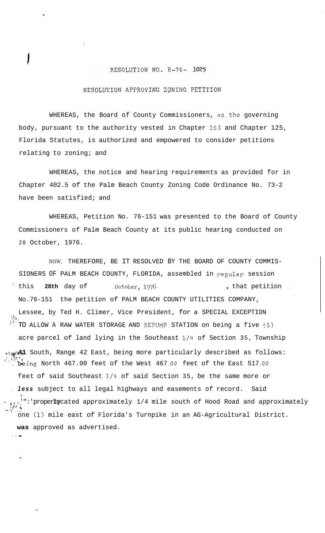## RESOLUTION NO. R-76- 1025

## RESOLUTION APPROVING ZONING PETITION

*c* 

.!\*

WHEREAS, the Board of County Commissioners, as, the governing body, pursuant to the authority vested in Chapter 163 and Chapter 125, Florida Statutes, is authorized and empowered to consider petitions relating to zoning; and

WHEREAS, the notice and hearing requirements as provided for in Chapter 402.5 of the Palm Beach County Zoning Code Ordinance No. 73-2 have been satisfied; and

WHEREAS, Petition No. 76-151 was presented to the Board of County Commissioners of Palm Beach County at its public hearing conducted on 28 October, 1976.

NOW, THEREFORE, BE IT RESOLVED BY THE BOARD OF COUNTY COMMIS-SIONERS OF PALM BEACH COUNTY, FLORIDA, assembled in regular session  $\frac{1}{2}$  this **28th** day of , 0ctober, 1976, that petition , No.76-151 the petition of PALM BEACH COUNTY UTILITIES COMPANY, Lessee, by Ted H. Climer, Vice President, for a SPECIAL EXCEPTION TO ALLOW A RAW WATER STORAGE AND REPUMP STATION on being a five (5) . .=., *.I.*   $\mathbb{R}^*$  . acre parcel of land lying in the Southeast 1/4 of Section 35, Township . 141 South, Range 42 East, being more particularly described as follows: .; **j** ~ *:,e 4-*  . bking North 467.00 feet of the West 467 *.OO* feet of the East 517 *.OO*  feet of said Southeast 1/4 of said Section 35, be the same more or . less subject to all legal highways and easements of record. Said property cated approximately 1/4 mile south of Hood Road and approximately i i i property cated approximately  $\frac{1}{4}$  mile south of Hood Road and approximately one (1) mile east of Florida's Turnpike in an AG-Agricultural District. **was** approved as advertised.